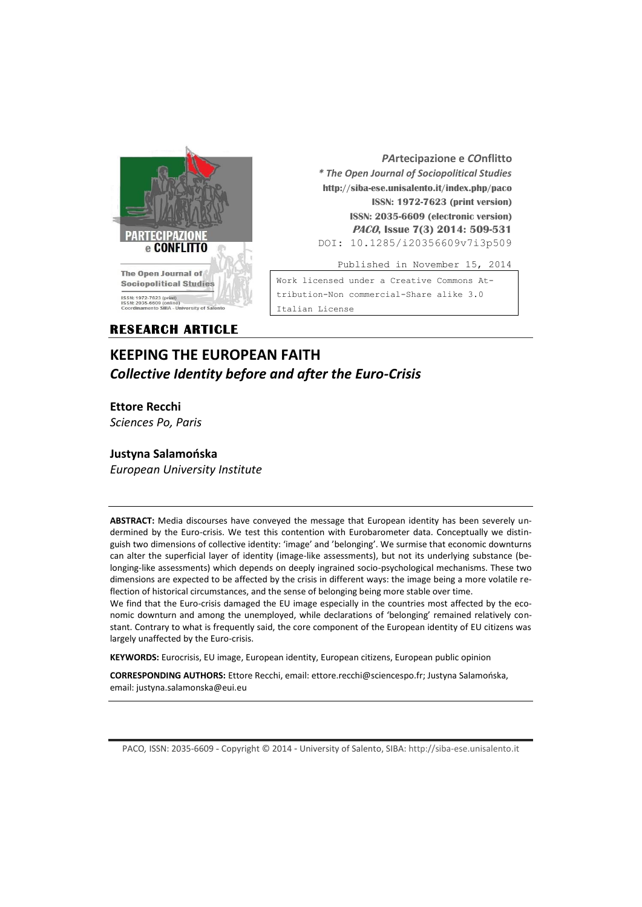

*PA***rtecipazione e** *CO***nflitto** *\* The Open Journal of Sociopolitical Studies* **http://siba-ese.unisalento.it/index.php/paco ISSN: 1972-7623 (print version) ISSN: 2035-6609 (electronic version) PACO, Issue 7(3) 2014: 509-531**  DOI: 10.1285/i20356609v7i3p509

Published in November 15, 2014

Work licensed under a [Creative Commons At](http://creativecommons.org/licenses/by-nc-nd/3.0/it/)[tribution-Non commercial-Share alike 3.0](http://creativecommons.org/licenses/by-nc-nd/3.0/it/)  [Italian License](http://creativecommons.org/licenses/by-nc-nd/3.0/it/) 

# **RESEARCH ARTICLE**

# **KEEPING THE EUROPEAN FAITH**  *Collective Identity before and after the Euro-Crisis*

# **Ettore Recchi**

*Sciences Po, Paris*

## **Justyna Salamońska**

*European University Institute*

**ABSTRACT:** Media discourses have conveyed the message that European identity has been severely undermined by the Euro-crisis. We test this contention with Eurobarometer data. Conceptually we distinguish two dimensions of collective identity: 'image' and 'belonging'. We surmise that economic downturns can alter the superficial layer of identity (image-like assessments), but not its underlying substance (belonging-like assessments) which depends on deeply ingrained socio-psychological mechanisms. These two dimensions are expected to be affected by the crisis in different ways: the image being a more volatile reflection of historical circumstances, and the sense of belonging being more stable over time.

We find that the Euro-crisis damaged the EU image especially in the countries most affected by the economic downturn and among the unemployed, while declarations of 'belonging' remained relatively constant. Contrary to what is frequently said, the core component of the European identity of EU citizens was largely unaffected by the Euro-crisis.

**KEYWORDS:** Eurocrisis, EU image, European identity, European citizens, European public opinion

**CORRESPONDING AUTHORS:** Ettore Recchi, email: [ettore.recchi@sciencespo.fr;](mailto:ettore.recchi@sciencespo.fr) Justyna Salamońska, email: justyna.salamonska@eui.eu

PACO*,* ISSN: 2035-6609 - Copyright © 2014 - University of Salento, SIBA: http://siba-ese.unisalento.it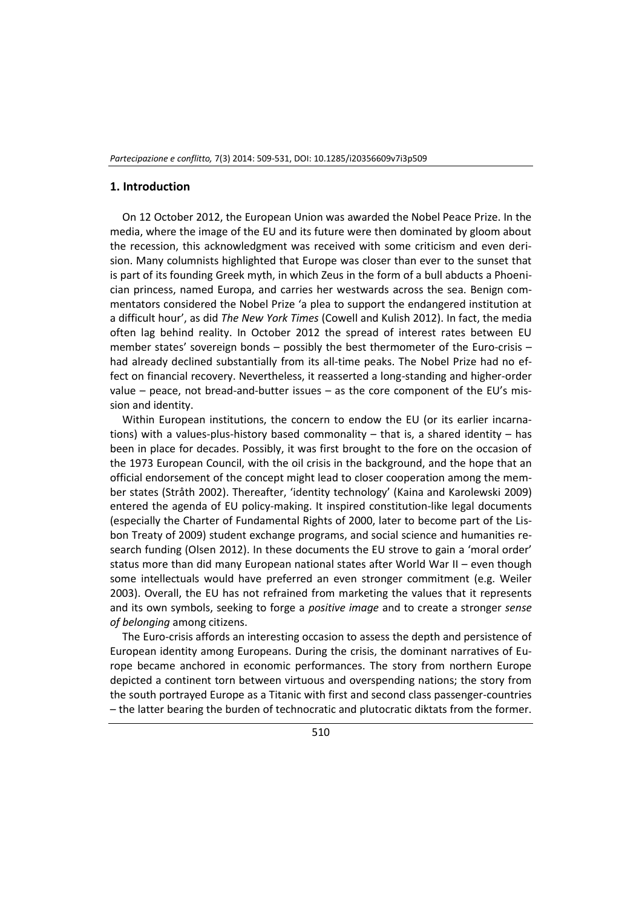#### **1. Introduction**

On 12 October 2012, the European Union was awarded the Nobel Peace Prize. In the media, where the image of the EU and its future were then dominated by gloom about the recession, this acknowledgment was received with some criticism and even derision. Many columnists highlighted that Europe was closer than ever to the sunset that is part of its founding Greek myth, in which Zeus in the form of a bull abducts a Phoenician princess, named Europa, and carries her westwards across the sea. Benign commentators considered the Nobel Prize 'a plea to support the endangered institution at a difficult hour', as did *The New York Times* (Cowell and Kulish 2012). In fact, the media often lag behind reality. In October 2012 the spread of interest rates between EU member states' sovereign bonds – possibly the best thermometer of the Euro-crisis – had already declined substantially from its all-time peaks. The Nobel Prize had no effect on financial recovery. Nevertheless, it reasserted a long-standing and higher-order value – peace, not bread-and-butter issues – as the core component of the EU's mission and identity.

Within European institutions, the concern to endow the EU (or its earlier incarnations) with a values-plus-history based commonality – that is, a shared identity – has been in place for decades. Possibly, it was first brought to the fore on the occasion of the 1973 European Council, with the oil crisis in the background, and the hope that an official endorsement of the concept might lead to closer cooperation among the member states (Stråth 2002). Thereafter, 'identity technology' (Kaina and Karolewski 2009) entered the agenda of EU policy-making. It inspired constitution-like legal documents (especially the Charter of Fundamental Rights of 2000, later to become part of the Lisbon Treaty of 2009) student exchange programs, and social science and humanities research funding (Olsen 2012). In these documents the EU strove to gain a 'moral order' status more than did many European national states after World War II – even though some intellectuals would have preferred an even stronger commitment (e.g. Weiler 2003). Overall, the EU has not refrained from marketing the values that it represents and its own symbols, seeking to forge a *positive image* and to create a stronger *sense of belonging* among citizens.

The Euro-crisis affords an interesting occasion to assess the depth and persistence of European identity among Europeans. During the crisis, the dominant narratives of Europe became anchored in economic performances. The story from northern Europe depicted a continent torn between virtuous and overspending nations; the story from the south portrayed Europe as a Titanic with first and second class passenger-countries – the latter bearing the burden of technocratic and plutocratic diktats from the former.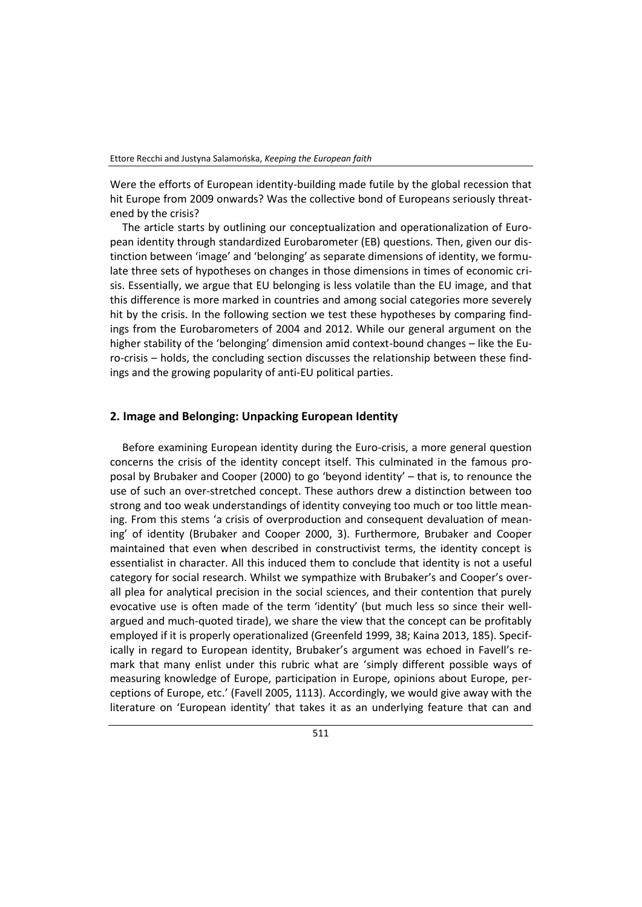Were the efforts of European identity-building made futile by the global recession that hit Europe from 2009 onwards? Was the collective bond of Europeans seriously threatened by the crisis?

The article starts by outlining our conceptualization and operationalization of European identity through standardized Eurobarometer (EB) questions. Then, given our distinction between 'image' and 'belonging' as separate dimensions of identity, we formulate three sets of hypotheses on changes in those dimensions in times of economic crisis. Essentially, we argue that EU belonging is less volatile than the EU image, and that this difference is more marked in countries and among social categories more severely hit by the crisis. In the following section we test these hypotheses by comparing findings from the Eurobarometers of 2004 and 2012. While our general argument on the higher stability of the 'belonging' dimension amid context-bound changes – like the Euro-crisis – holds, the concluding section discusses the relationship between these findings and the growing popularity of anti-EU political parties.

#### **2. Image and Belonging: Unpacking European Identity**

Before examining European identity during the Euro-crisis, a more general question concerns the crisis of the identity concept itself. This culminated in the famous proposal by Brubaker and Cooper (2000) to go 'beyond identity' – that is, to renounce the use of such an over-stretched concept. These authors drew a distinction between too strong and too weak understandings of identity conveying too much or too little meaning. From this stems 'a crisis of overproduction and consequent devaluation of meaning' of identity (Brubaker and Cooper 2000, 3). Furthermore, Brubaker and Cooper maintained that even when described in constructivist terms, the identity concept is essentialist in character. All this induced them to conclude that identity is not a useful category for social research. Whilst we sympathize with Brubaker's and Cooper's overall plea for analytical precision in the social sciences, and their contention that purely evocative use is often made of the term 'identity' (but much less so since their wellargued and much-quoted tirade), we share the view that the concept can be profitably employed if it is properly operationalized (Greenfeld 1999, 38; Kaina 2013, 185). Specifically in regard to European identity, Brubaker's argument was echoed in Favell's remark that many enlist under this rubric what are 'simply different possible ways of measuring knowledge of Europe, participation in Europe, opinions about Europe, perceptions of Europe, etc.' (Favell 2005, 1113). Accordingly, we would give away with the literature on 'European identity' that takes it as an underlying feature that can and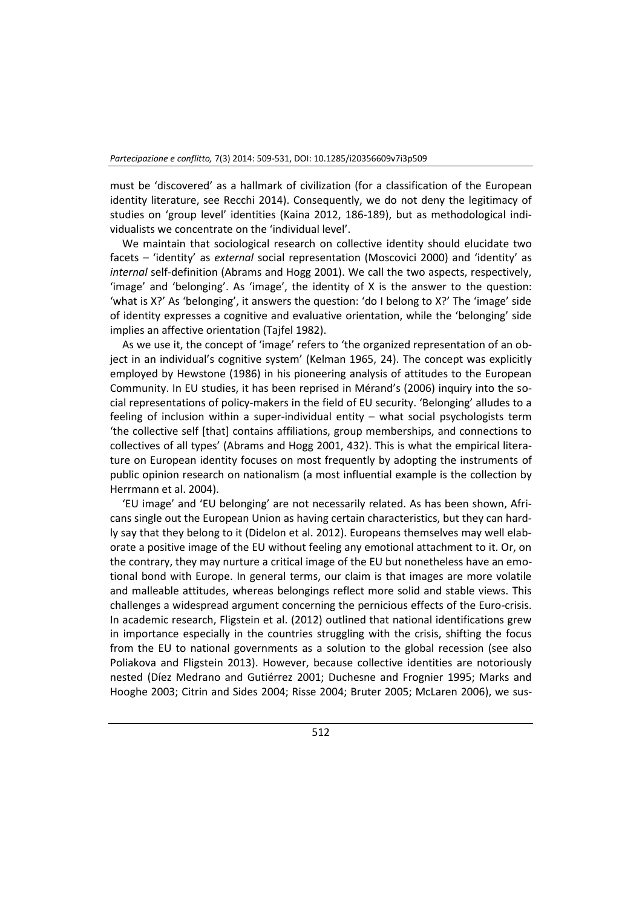must be 'discovered' as a hallmark of civilization (for a classification of the European identity literature, see Recchi 2014). Consequently, we do not deny the legitimacy of studies on 'group level' identities (Kaina 2012, 186-189), but as methodological individualists we concentrate on the 'individual level'.

We maintain that sociological research on collective identity should elucidate two facets – 'identity' as *external* social representation (Moscovici 2000) and 'identity' as *internal* self-definition (Abrams and Hogg 2001). We call the two aspects, respectively, 'image' and 'belonging'. As 'image', the identity of X is the answer to the question: 'what is X?' As 'belonging', it answers the question: 'do I belong to X?' The 'image' side of identity expresses a cognitive and evaluative orientation, while the 'belonging' side implies an affective orientation (Tajfel 1982).

As we use it, the concept of 'image' refers to 'the organized representation of an object in an individual's cognitive system' (Kelman 1965, 24). The concept was explicitly employed by Hewstone (1986) in his pioneering analysis of attitudes to the European Community. In EU studies, it has been reprised in Mérand's (2006) inquiry into the social representations of policy-makers in the field of EU security. 'Belonging' alludes to a feeling of inclusion within a super-individual entity – what social psychologists term 'the collective self [that] contains affiliations, group memberships, and connections to collectives of all types' (Abrams and Hogg 2001, 432). This is what the empirical literature on European identity focuses on most frequently by adopting the instruments of public opinion research on nationalism (a most influential example is the collection by Herrmann et al. 2004).

'EU image' and 'EU belonging' are not necessarily related. As has been shown, Africans single out the European Union as having certain characteristics, but they can hardly say that they belong to it (Didelon et al. 2012). Europeans themselves may well elaborate a positive image of the EU without feeling any emotional attachment to it. Or, on the contrary, they may nurture a critical image of the EU but nonetheless have an emotional bond with Europe. In general terms, our claim is that images are more volatile and malleable attitudes, whereas belongings reflect more solid and stable views. This challenges a widespread argument concerning the pernicious effects of the Euro-crisis. In academic research, Fligstein et al. (2012) outlined that national identifications grew in importance especially in the countries struggling with the crisis, shifting the focus from the EU to national governments as a solution to the global recession (see also Poliakova and Fligstein 2013). However, because collective identities are notoriously nested (Díez Medrano and Gutiérrez 2001; Duchesne and Frognier 1995; Marks and Hooghe 2003; Citrin and Sides 2004; Risse 2004; Bruter 2005; McLaren 2006), we sus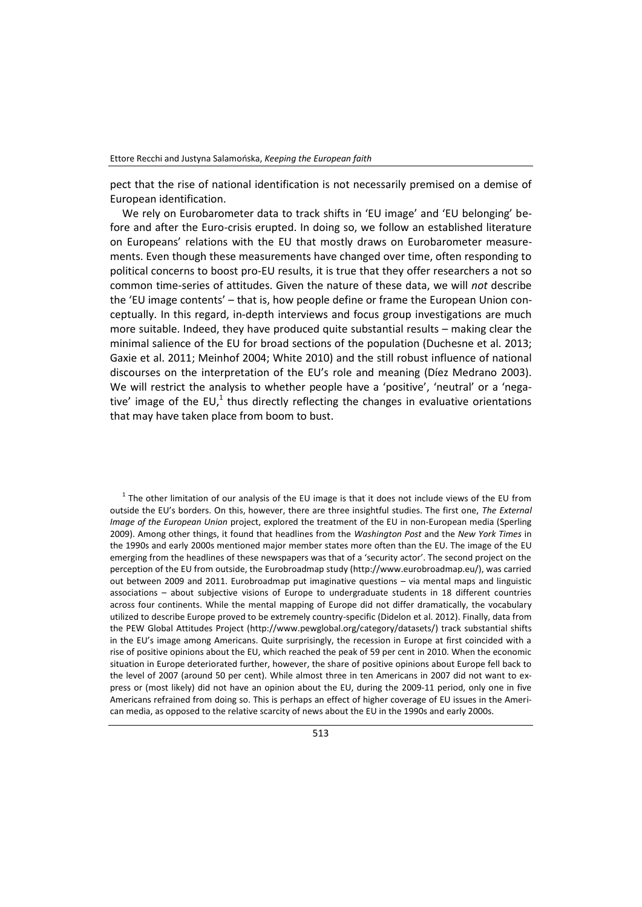pect that the rise of national identification is not necessarily premised on a demise of European identification.

We rely on Eurobarometer data to track shifts in 'EU image' and 'EU belonging' before and after the Euro-crisis erupted. In doing so, we follow an established literature on Europeans' relations with the EU that mostly draws on Eurobarometer measurements. Even though these measurements have changed over time, often responding to political concerns to boost pro-EU results, it is true that they offer researchers a not so common time-series of attitudes. Given the nature of these data, we will *not* describe the 'EU image contents' – that is, how people define or frame the European Union conceptually. In this regard, in-depth interviews and focus group investigations are much more suitable. Indeed, they have produced quite substantial results – making clear the minimal salience of the EU for broad sections of the population (Duchesne et al. 2013; Gaxie et al. 2011; Meinhof 2004; White 2010) and the still robust influence of national discourses on the interpretation of the EU's role and meaning (Díez Medrano 2003). We will restrict the analysis to whether people have a 'positive', 'neutral' or a 'negative' image of the EU,<sup>1</sup> thus directly reflecting the changes in evaluative orientations that may have taken place from boom to bust.

 $<sup>1</sup>$  The other limitation of our analysis of the EU image is that it does not include views of the EU from</sup> outside the EU's borders. On this, however, there are three insightful studies. The first one, *The External Image of the European Union* project, explored the treatment of the EU in non-European media (Sperling 2009). Among other things, it found that headlines from the *Washington Post* and the *New York Times* in the 1990s and early 2000s mentioned major member states more often than the EU. The image of the EU emerging from the headlines of these newspapers was that of a 'security actor'. The second project on the perception of the EU from outside, the Eurobroadmap study (http://www.eurobroadmap.eu/), was carried out between 2009 and 2011. Eurobroadmap put imaginative questions – via mental maps and linguistic associations – about subjective visions of Europe to undergraduate students in 18 different countries across four continents. While the mental mapping of Europe did not differ dramatically, the vocabulary utilized to describe Europe proved to be extremely country-specific (Didelon et al. 2012). Finally, data from the PEW Global Attitudes Project [\(http://www.pewglobal.org/category/datasets/\)](http://www.pewglobal.org/category/datasets/) track substantial shifts in the EU's image among Americans. Quite surprisingly, the recession in Europe at first coincided with a rise of positive opinions about the EU, which reached the peak of 59 per cent in 2010. When the economic situation in Europe deteriorated further, however, the share of positive opinions about Europe fell back to the level of 2007 (around 50 per cent). While almost three in ten Americans in 2007 did not want to express or (most likely) did not have an opinion about the EU, during the 2009-11 period, only one in five Americans refrained from doing so. This is perhaps an effect of higher coverage of EU issues in the American media, as opposed to the relative scarcity of news about the EU in the 1990s and early 2000s.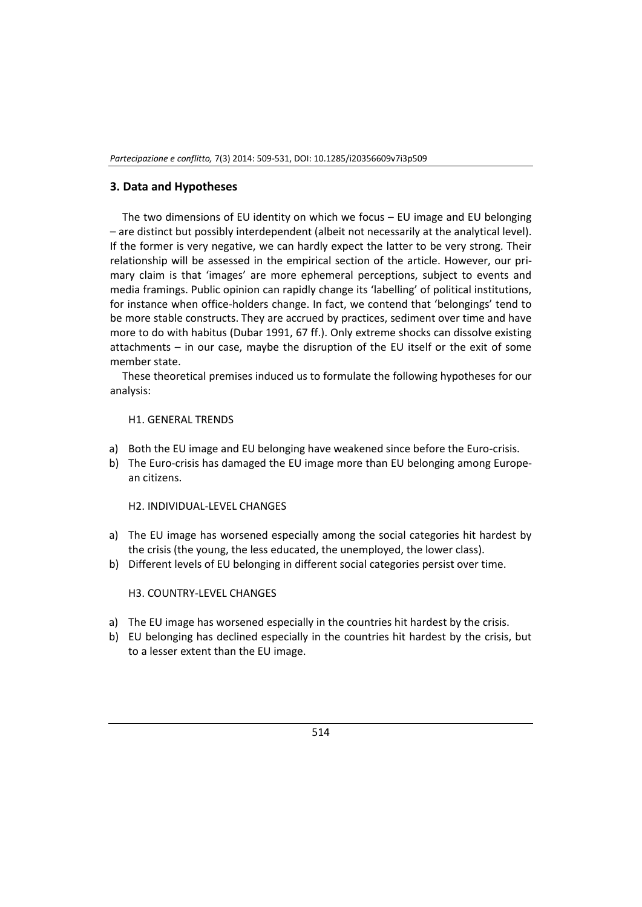## **3. Data and Hypotheses**

The two dimensions of EU identity on which we focus – EU image and EU belonging – are distinct but possibly interdependent (albeit not necessarily at the analytical level). If the former is very negative, we can hardly expect the latter to be very strong. Their relationship will be assessed in the empirical section of the article. However, our primary claim is that 'images' are more ephemeral perceptions, subject to events and media framings. Public opinion can rapidly change its 'labelling' of political institutions, for instance when office-holders change. In fact, we contend that 'belongings' tend to be more stable constructs. They are accrued by practices, sediment over time and have more to do with habitus (Dubar 1991, 67 ff.). Only extreme shocks can dissolve existing attachments – in our case, maybe the disruption of the EU itself or the exit of some member state.

These theoretical premises induced us to formulate the following hypotheses for our analysis:

### H1. GENERAL TRENDS

- a) Both the EU image and EU belonging have weakened since before the Euro-crisis.
- b) The Euro-crisis has damaged the EU image more than EU belonging among European citizens.

H2. INDIVIDUAL-LEVEL CHANGES

- a) The EU image has worsened especially among the social categories hit hardest by the crisis (the young, the less educated, the unemployed, the lower class).
- b) Different levels of EU belonging in different social categories persist over time.

H3. COUNTRY-LEVEL CHANGES

- a) The EU image has worsened especially in the countries hit hardest by the crisis.
- b) EU belonging has declined especially in the countries hit hardest by the crisis, but to a lesser extent than the EU image.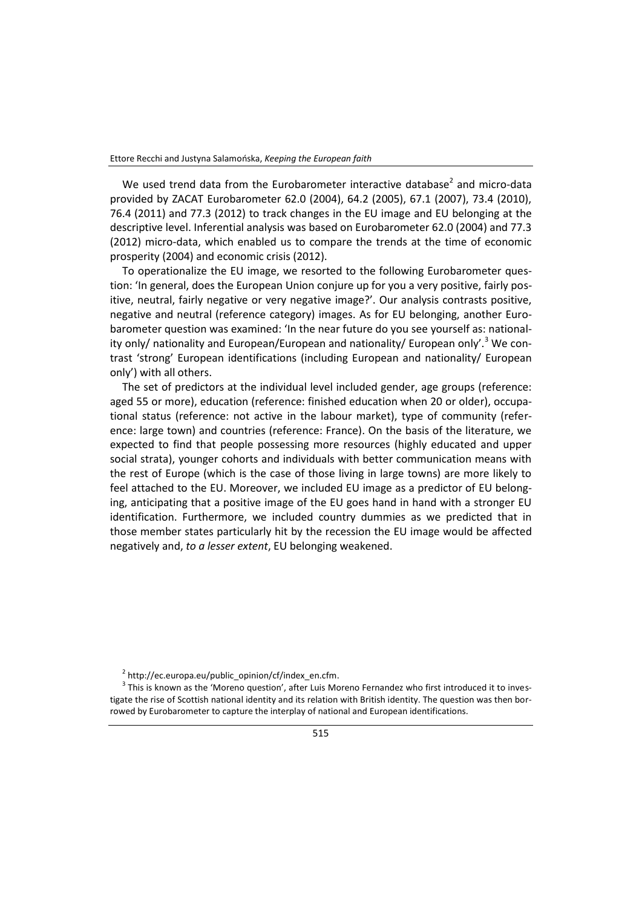We used trend data from the Eurobarometer interactive database<sup>2</sup> and micro-data provided by ZACAT Eurobarometer 62.0 (2004), 64.2 (2005), 67.1 (2007), 73.4 (2010), 76.4 (2011) and 77.3 (2012) to track changes in the EU image and EU belonging at the descriptive level. Inferential analysis was based on Eurobarometer 62.0 (2004) and 77.3 (2012) micro-data, which enabled us to compare the trends at the time of economic prosperity (2004) and economic crisis (2012).

To operationalize the EU image, we resorted to the following Eurobarometer question: 'In general, does the European Union conjure up for you a very positive, fairly positive, neutral, fairly negative or very negative image?'. Our analysis contrasts positive, negative and neutral (reference category) images. As for EU belonging, another Eurobarometer question was examined: 'In the near future do you see yourself as: nationality only/ nationality and European/European and nationality/ European only'.<sup>3</sup> We contrast 'strong' European identifications (including European and nationality/ European only') with all others.

The set of predictors at the individual level included gender, age groups (reference: aged 55 or more), education (reference: finished education when 20 or older), occupational status (reference: not active in the labour market), type of community (reference: large town) and countries (reference: France). On the basis of the literature, we expected to find that people possessing more resources (highly educated and upper social strata), younger cohorts and individuals with better communication means with the rest of Europe (which is the case of those living in large towns) are more likely to feel attached to the EU. Moreover, we included EU image as a predictor of EU belonging, anticipating that a positive image of the EU goes hand in hand with a stronger EU identification. Furthermore, we included country dummies as we predicted that in those member states particularly hit by the recession the EU image would be affected negatively and, *to a lesser extent*, EU belonging weakened.

<sup>2</sup> [http://ec.europa.eu/public\\_opinion/cf/index\\_en.cfm.](http://ec.europa.eu/public_opinion/cf/index_en.cfm)

 $3$  This is known as the 'Moreno question', after Luis Moreno Fernandez who first introduced it to investigate the rise of Scottish national identity and its relation with British identity. The question was then borrowed by Eurobarometer to capture the interplay of national and European identifications.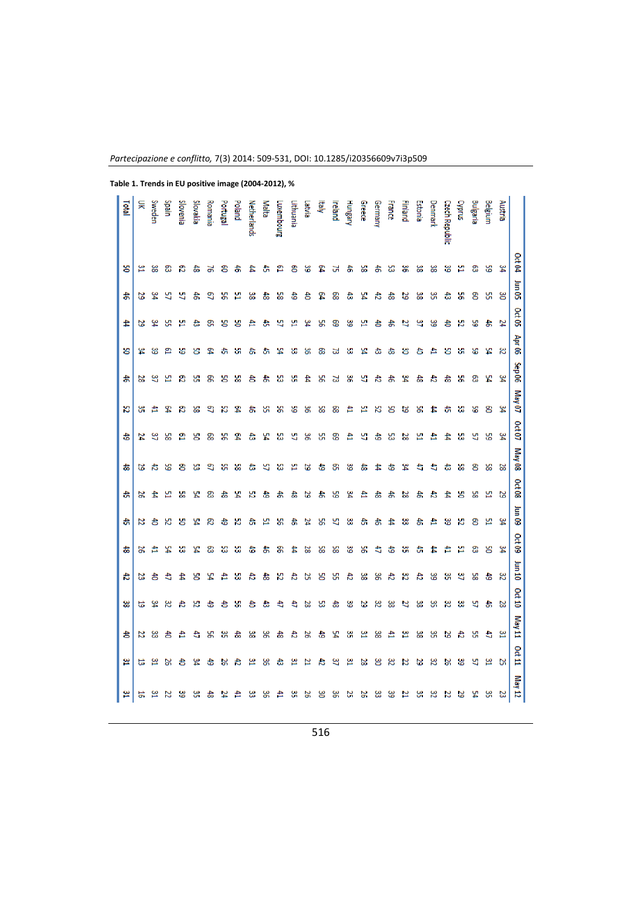|        | بير    | 含             | జ             | €      | 욺             | â             | â             | ਛੇ            | \$     | జ      | 吿      | క      | £      | 吿      | g             | <b>Tota</b>        |
|--------|--------|---------------|---------------|--------|---------------|---------------|---------------|---------------|--------|--------|--------|--------|--------|--------|---------------|--------------------|
| 능      | ಜ      | И             | ದ             | 23     | జ             | S             | ਲ             | డ             | z      | ၾ      | జ      | 窒      | 8      | డ      | ≌             | ⋚                  |
|        | ≌      | 器             | 35            | ਛੇ     | 凸             | ਣੇ            | £             | ĉ             | జ      | ≞      | ≌      | ၼ      | 뿦      | 뽚      | జ             | Sweden             |
| z      | S      | ਠੇ            | ಜ             | 亳      | 오             | Y.            | 也             | 똥             | జ      | ድ      | 뵵      | Ξ      | YЯ     | ٢J     | ස             | g<br>Mali          |
| జ      | ਠੇ     | 츕             | €             | ₫      | జ             | 똥             | 냚             | 8             | ₽      | ణ      | లె     | 놂      | 也      | u      | ణ             | Slovenia           |
| 쓵      | ٣      | 4             | ĸ             | క      | ጄ             | 오             | 오             | 歯             | క      | జ      | چ      | క      | ਨੇ     | 畵      | ਛੇ            | Slovakia           |
| 숢      | 숩      | æ             | 송             | ¥.     | ఔ             | చి            | ස             | లి            | జ      | చి     | ஜ      | ድ      | ஜ      | చి     | 51            | Romania            |
|        | 26     | æ             | ਠੋ            | 크      | జ             | 욶             | ਛੇ            | ٥             | ఙ      | ĸ      | 똥      | ਨੇ     | 똥      | 놂      | ຮ             | Portugal           |
|        | đ      | ढ             | జ             | జ      | జ             | X3            | ¥.            | జ             | ድ      | ድ      | 볾      | 멺      | ៜ      | 也      | ਛੇ            | Poland             |
|        | ≌      | ၼ             | ਠੋ            | ਨੈ     | 훕             | ਨੇ            | చ             | ਨੇ            | ಹಿ     | ਛੇ     | ਠੇ     | ਛੇ     | 壵      | జ      | ₽             | <b>Netherlands</b> |
| ఙ      | ၼ      | ఙ             | ಹಿ            | ਛੇ     | ਨੇ            | 멾             | 훕             | ٢J            | 75     | v.     | ਛੇ     | ਨੇ     | ਨੇ     | ਛੇ     | ਨੇ            | Malta              |
|        | 츊      | ਛੇ            | e             | N,     | ஐ             | ¥.            | ਨੇ            | ಜ             | జ      | క      | జ      | ¥.     | 均      | జ      | Ξ             | uxembourg          |
| 쓵      | 险      | £             | 4             | 4      | \$            | ਨੇ            | ਛੇ            | 년             | ٢J     | ऊ      | ю      | జ      | 년      | 훕      | ខ             | Lithuania          |
| 56     | z      | 5             | 56            | G      | ಜ             | 24            | డ             | ಜ             | ၼ      | ၼ      | ₽      | ၼ      | ٣Z     | ਠੇ     | జ             | Latvia             |
| క      | đ      | 송             | జ             | క      | జ             | ¥.            | ਨੇ            | 훕             | ы      | జ      | ട്ട    | ஐ      | జ      | ድ      | ድ             | 횾                  |
| မ္တ    | 37     | ¥.            | ढे            | 놂      | జ             | <u>ی</u>      | 붑             | ទា            | ෂ      | ஐ      | చ      | ವ      | ෂ      | జ      | G             | Ireland            |
| s      | ≌      | ಜ             | ଞ             | ਨੋ     | ଞ             | జ             | 54            | ଞ             | ≞      | 츠      | ఙ      | జ      | ଞ      | ਨੇ     | ਛੇ            | <b>Hungary</b>     |
| 5      | జ      | ≌             | డ             | జ      | ¥.            | ਨੇ            | ≞             | ਛੇ            | ч      | 也      | s      | 뾝      | 년      | 오      | జ             | Greece             |
| జ      | ౾      | జ             | జ             | ఙ      | ≞             | ਛੇ            | ਛੇ            | ₫             | ㅎ      | x      | ਨੈ     | ಹಿ     | ਨੈ     | ਨੇ     | ਛੇ            | Germany            |
| ႊ      | జ      | 츕             | జ             | ਨੇ     | ਛੇ            | £             | ਨੇ            | ਛੇ            | జ      | క      | ਨੇ     | ਛੇ     | ਨੋ     | ਛੇ     | జ             | France             |
| ≃      | z      | ≌             | 2             | జ      | æ             | æ             | జ             | ٣             | జ      | డ      | ≍      | ຮ      | ≊      | 3      | w             | Finland            |
| 쓵      | 2      | ₩             | ₩             | ਨੇ     | ਨੇ            | お             | ਛੇ            | e             | 쁘      | æ      | ਛੇ     | ਠੇ     | ౻      | జ      | జ             | Estonia            |
| జ      | జ      | 쓵             | 쓵             | జ      | ₿             | 亖             | ਨੈ            | e             | ≞      | £      | ਨੈ     |        | 5      | ಜ      | జ             | Denmark            |
| z      | జ      | 2             | జ             | မ္ဟ    | ≞             | ଞ             | ₿             | ਨੇ            | ₽      | ਨੋ     | ਛੇ     | 똥      | ਨੈ     | ㅎ      | ၼ             | Czech Republic     |
| డ      | జ      | €             | జ             | జ      | 므             | చ             | ఆ             | 냚             | జ      | జ      | 놂      | 멺      | చ      | 놂      | 쁘             | Cyprus             |
| 오      | ч      | 띪             | u             | జ      | ఔ             | ഋ             | జ             | ៜ             | ч      | 놂      | ස      | ఴ      | ఴ      | ຮ      | ఔ             | Bulgaria           |
| ပ္ပ    | ≌      | e             | ਨੇ            | ਛੇ     | 똥             | 년             | 也             | 냚             | 놂      | ៜ      | 오      | 24     | ਛੇ     | 识      | ఴ             | Belgium            |
| ಜ      | œ      | ≌             | ಜ             | జ      | ٣             | 뽚             | 5             | 28            | ٣      | 罢      | S      | 32     | 24     | ဧ      | 54            | Austria            |
| May 12 | Oct 11 | <b>May 11</b> | <b>Oct 10</b> | Jun 10 | <b>Oct 09</b> | <b>Pun 09</b> | <b>Oct 08</b> | <b>May 08</b> | Oct 07 | May 07 | Sep 06 | Apr 06 | Oct 05 | Jun 05 | <b>Oct 04</b> |                    |

**Table 1. Trends in EU positive image (2004-2012), %** 

*Partecipazione e conflitto,* 7(3) 2014: 509-531, DOI: 10.1285/i20356609v7i3p509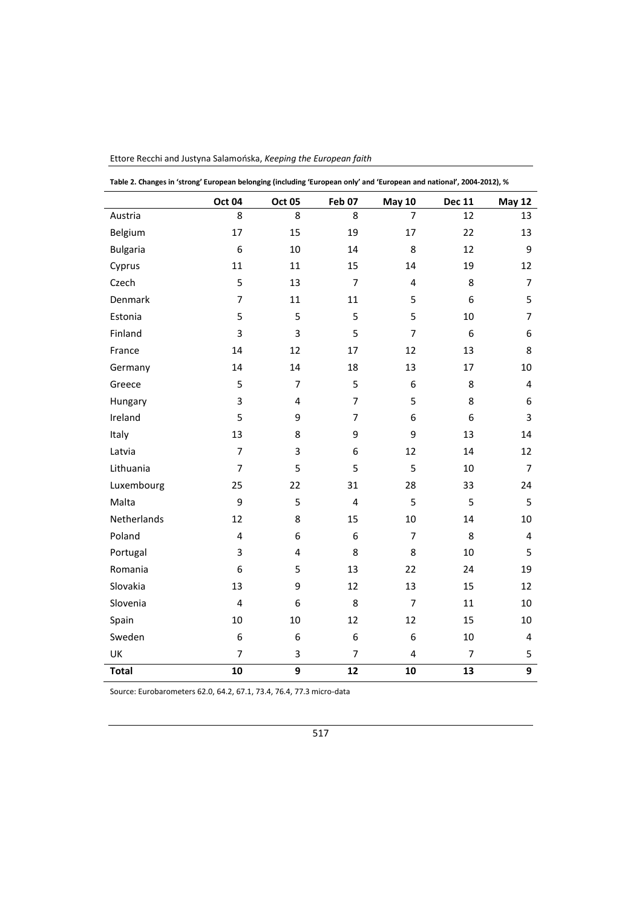| Table 2. Changes in 'strong' European belonging (including 'European only' and 'European and national', 2004-2012), % |                |                |                |                |                 |                         |
|-----------------------------------------------------------------------------------------------------------------------|----------------|----------------|----------------|----------------|-----------------|-------------------------|
|                                                                                                                       | <b>Oct 04</b>  | <b>Oct 05</b>  | <b>Feb 07</b>  | <b>May 10</b>  | <b>Dec 11</b>   | <b>May 12</b>           |
| Austria                                                                                                               | 8              | 8              | 8              | $\overline{7}$ | 12              | 13                      |
| Belgium                                                                                                               | 17             | 15             | 19             | 17             | 22              | 13                      |
| <b>Bulgaria</b>                                                                                                       | 6              | 10             | 14             | 8              | 12              | 9                       |
| Cyprus                                                                                                                | 11             | 11             | 15             | 14             | 19              | 12                      |
| Czech                                                                                                                 | 5              | 13             | 7              | 4              | 8               | $\overline{7}$          |
| Denmark                                                                                                               | $\overline{7}$ | 11             | 11             | 5              | 6               | 5                       |
| Estonia                                                                                                               | 5              | 5              | 5              | 5              | 10              | 7                       |
| Finland                                                                                                               | 3              | 3              | 5              | $\overline{7}$ | $6\phantom{1}6$ | 6                       |
| France                                                                                                                | 14             | 12             | 17             | 12             | 13              | 8                       |
| Germany                                                                                                               | 14             | 14             | 18             | 13             | 17              | 10                      |
| Greece                                                                                                                | 5              | $\overline{7}$ | 5              | 6              | 8               | 4                       |
| Hungary                                                                                                               | 3              | 4              | $\overline{7}$ | 5              | 8               | 6                       |
| Ireland                                                                                                               | 5              | 9              | 7              | 6              | 6               | 3                       |
| Italy                                                                                                                 | 13             | 8              | 9              | 9              | 13              | 14                      |
| Latvia                                                                                                                | $\overline{7}$ | 3              | 6              | 12             | 14              | 12                      |
| Lithuania                                                                                                             | $\overline{7}$ | 5              | 5              | 5              | 10              | $\overline{7}$          |
| Luxembourg                                                                                                            | 25             | 22             | 31             | 28             | 33              | 24                      |
| Malta                                                                                                                 | 9              | 5              | 4              | 5              | 5               | 5                       |
| Netherlands                                                                                                           | 12             | 8              | 15             | 10             | 14              | 10                      |
| Poland                                                                                                                | 4              | 6              | 6              | $\overline{7}$ | 8               | $\overline{\mathbf{4}}$ |
| Portugal                                                                                                              | 3              | 4              | 8              | 8              | 10              | 5                       |
| Romania                                                                                                               | 6              | 5              | 13             | 22             | 24              | 19                      |
| Slovakia                                                                                                              | 13             | 9              | 12             | 13             | 15              | 12                      |
| Slovenia                                                                                                              | 4              | 6              | 8              | $\overline{7}$ | 11              | 10                      |
| Spain                                                                                                                 | 10             | 10             | 12             | 12             | 15              | 10                      |
| Sweden                                                                                                                | 6              | 6              | 6              | 6              | 10              | 4                       |
| UK                                                                                                                    | $\overline{7}$ | 3              | 7              | 4              | $\overline{7}$  | 5                       |
| <b>Total</b>                                                                                                          | 10             | 9              | 12             | 10             | 13              | 9                       |

Ettore Recchi and Justyna Salamońska, *Keeping the European faith* 

Source: Eurobarometers 62.0, 64.2, 67.1, 73.4, 76.4, 77.3 micro-data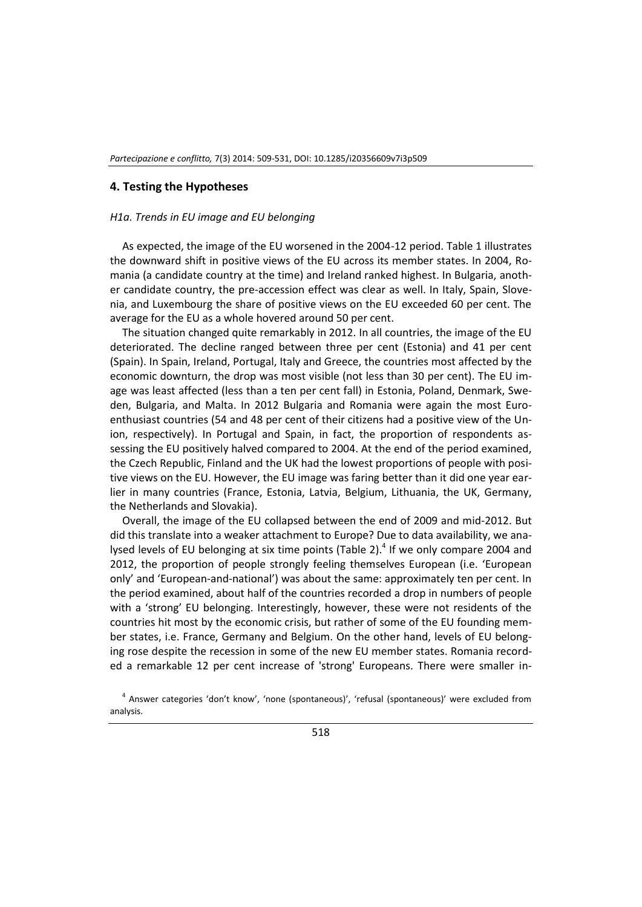#### **4. Testing the Hypotheses**

#### *H1a. Trends in EU image and EU belonging*

As expected, the image of the EU worsened in the 2004-12 period. Table 1 illustrates the downward shift in positive views of the EU across its member states. In 2004, Romania (a candidate country at the time) and Ireland ranked highest. In Bulgaria, another candidate country, the pre-accession effect was clear as well. In Italy, Spain, Slovenia, and Luxembourg the share of positive views on the EU exceeded 60 per cent. The average for the EU as a whole hovered around 50 per cent.

The situation changed quite remarkably in 2012. In all countries, the image of the EU deteriorated. The decline ranged between three per cent (Estonia) and 41 per cent (Spain). In Spain, Ireland, Portugal, Italy and Greece, the countries most affected by the economic downturn, the drop was most visible (not less than 30 per cent). The EU image was least affected (less than a ten per cent fall) in Estonia, Poland, Denmark, Sweden, Bulgaria, and Malta. In 2012 Bulgaria and Romania were again the most Euroenthusiast countries (54 and 48 per cent of their citizens had a positive view of the Union, respectively). In Portugal and Spain, in fact, the proportion of respondents assessing the EU positively halved compared to 2004. At the end of the period examined, the Czech Republic, Finland and the UK had the lowest proportions of people with positive views on the EU. However, the EU image was faring better than it did one year earlier in many countries (France, Estonia, Latvia, Belgium, Lithuania, the UK, Germany, the Netherlands and Slovakia).

Overall, the image of the EU collapsed between the end of 2009 and mid-2012. But did this translate into a weaker attachment to Europe? Due to data availability, we analysed levels of EU belonging at six time points (Table 2).<sup>4</sup> If we only compare 2004 and 2012, the proportion of people strongly feeling themselves European (i.e. 'European only' and 'European-and-national') was about the same: approximately ten per cent. In the period examined, about half of the countries recorded a drop in numbers of people with a 'strong' EU belonging. Interestingly, however, these were not residents of the countries hit most by the economic crisis, but rather of some of the EU founding member states, i.e. France, Germany and Belgium. On the other hand, levels of EU belonging rose despite the recession in some of the new EU member states. Romania recorded a remarkable 12 per cent increase of 'strong' Europeans. There were smaller in-

<sup>&</sup>lt;sup>4</sup> Answer categories 'don't know', 'none (spontaneous)', 'refusal (spontaneous)' were excluded from analysis.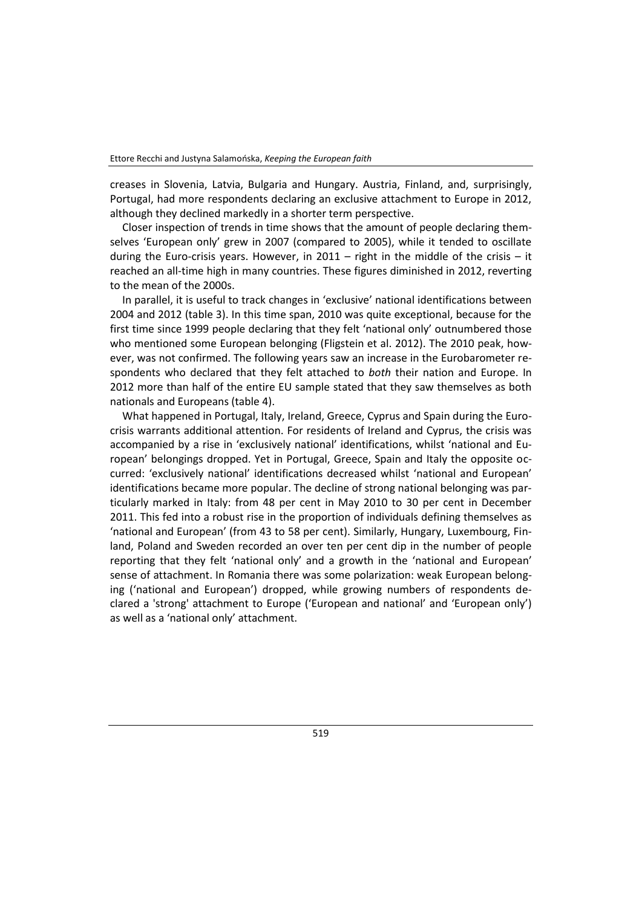creases in Slovenia, Latvia, Bulgaria and Hungary. Austria, Finland, and, surprisingly, Portugal, had more respondents declaring an exclusive attachment to Europe in 2012, although they declined markedly in a shorter term perspective.

Closer inspection of trends in time shows that the amount of people declaring themselves 'European only' grew in 2007 (compared to 2005), while it tended to oscillate during the Euro-crisis years. However, in  $2011 -$  right in the middle of the crisis – it reached an all-time high in many countries. These figures diminished in 2012, reverting to the mean of the 2000s.

In parallel, it is useful to track changes in 'exclusive' national identifications between 2004 and 2012 (table 3). In this time span, 2010 was quite exceptional, because for the first time since 1999 people declaring that they felt 'national only' outnumbered those who mentioned some European belonging (Fligstein et al. 2012). The 2010 peak, however, was not confirmed. The following years saw an increase in the Eurobarometer respondents who declared that they felt attached to *both* their nation and Europe. In 2012 more than half of the entire EU sample stated that they saw themselves as both nationals and Europeans (table 4).

What happened in Portugal, Italy, Ireland, Greece, Cyprus and Spain during the Eurocrisis warrants additional attention. For residents of Ireland and Cyprus, the crisis was accompanied by a rise in 'exclusively national' identifications, whilst 'national and European' belongings dropped. Yet in Portugal, Greece, Spain and Italy the opposite occurred: 'exclusively national' identifications decreased whilst 'national and European' identifications became more popular. The decline of strong national belonging was particularly marked in Italy: from 48 per cent in May 2010 to 30 per cent in December 2011. This fed into a robust rise in the proportion of individuals defining themselves as 'national and European' (from 43 to 58 per cent). Similarly, Hungary, Luxembourg, Finland, Poland and Sweden recorded an over ten per cent dip in the number of people reporting that they felt 'national only' and a growth in the 'national and European' sense of attachment. In Romania there was some polarization: weak European belonging ('national and European') dropped, while growing numbers of respondents declared a 'strong' attachment to Europe ('European and national' and 'European only') as well as a 'national only' attachment.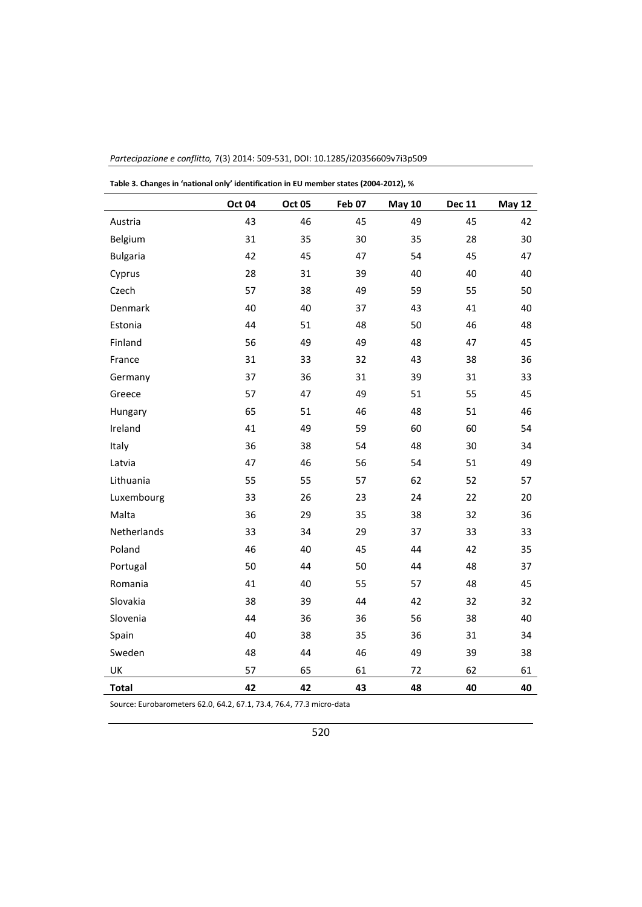|                 | <b>Oct 04</b> | <b>Oct 05</b> | <b>Feb 07</b> | <b>May 10</b> | <b>Dec 11</b> | <b>May 12</b> |
|-----------------|---------------|---------------|---------------|---------------|---------------|---------------|
| Austria         | 43            | 46            | 45            | 49            | 45            | 42            |
| Belgium         | 31            | 35            | 30            | 35            | 28            | 30            |
| <b>Bulgaria</b> | 42            | 45            | 47            | 54            | 45            | 47            |
| Cyprus          | 28            | 31            | 39            | 40            | 40            | 40            |
| Czech           | 57            | 38            | 49            | 59            | 55            | 50            |
| Denmark         | 40            | 40            | 37            | 43            | 41            | 40            |
| Estonia         | 44            | 51            | 48            | 50            | 46            | 48            |
| Finland         | 56            | 49            | 49            | 48            | 47            | 45            |
| France          | 31            | 33            | 32            | 43            | 38            | 36            |
| Germany         | 37            | 36            | 31            | 39            | 31            | 33            |
| Greece          | 57            | 47            | 49            | 51            | 55            | 45            |
| Hungary         | 65            | 51            | 46            | 48            | 51            | 46            |
| Ireland         | 41            | 49            | 59            | 60            | 60            | 54            |
| Italy           | 36            | 38            | 54            | 48            | 30            | 34            |
| Latvia          | 47            | 46            | 56            | 54            | 51            | 49            |
| Lithuania       | 55            | 55            | 57            | 62            | 52            | 57            |
| Luxembourg      | 33            | 26            | 23            | 24            | 22            | 20            |
| Malta           | 36            | 29            | 35            | 38            | 32            | 36            |
| Netherlands     | 33            | 34            | 29            | 37            | 33            | 33            |
| Poland          | 46            | 40            | 45            | 44            | 42            | 35            |
| Portugal        | 50            | 44            | 50            | 44            | 48            | 37            |
| Romania         | 41            | 40            | 55            | 57            | 48            | 45            |
| Slovakia        | 38            | 39            | 44            | 42            | 32            | 32            |
| Slovenia        | 44            | 36            | 36            | 56            | 38            | 40            |
| Spain           | 40            | 38            | 35            | 36            | 31            | 34            |
| Sweden          | 48            | 44            | 46            | 49            | 39            | 38            |
| UK              | 57            | 65            | 61            | 72            | 62            | 61            |
| <b>Total</b>    | 42            | 42            | 43            | 48            | 40            | 40            |

**Table 3. Changes in 'national only' identification in EU member states (2004-2012), %**

Source: Eurobarometers 62.0, 64.2, 67.1, 73.4, 76.4, 77.3 micro-data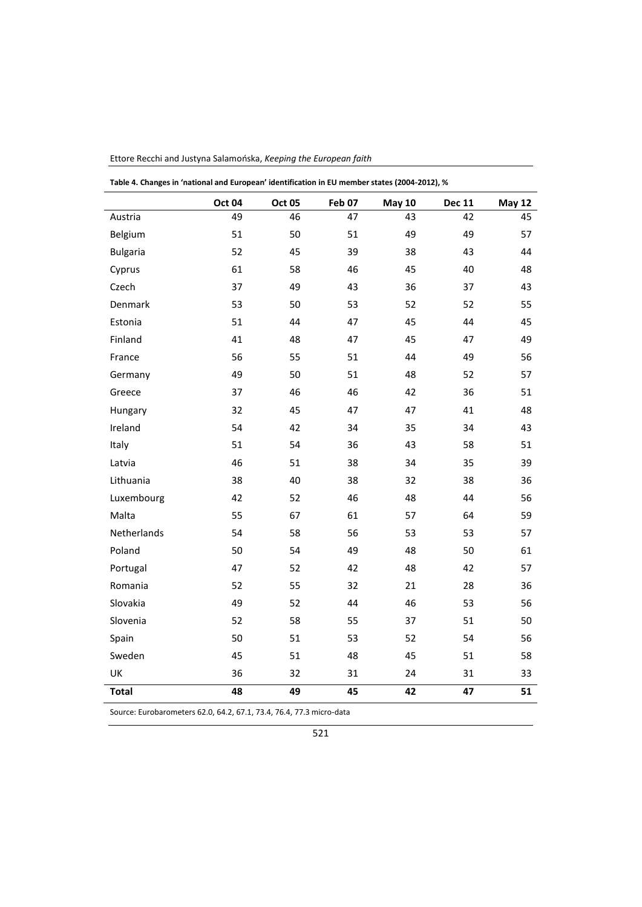|                 | <b>Oct 04</b> | <b>Oct 05</b> | <b>Feb 07</b> | <b>May 10</b> | <b>Dec 11</b> | <b>May 12</b> |
|-----------------|---------------|---------------|---------------|---------------|---------------|---------------|
| Austria         | 49            | 46            | 47            | 43            | 42            | 45            |
| Belgium         | 51            | 50            | 51            | 49            | 49            | 57            |
| <b>Bulgaria</b> | 52            | 45            | 39            | 38            | 43            | 44            |
| Cyprus          | 61            | 58            | 46            | 45            | 40            | 48            |
| Czech           | 37            | 49            | 43            | 36            | 37            | 43            |
| Denmark         | 53            | 50            | 53            | 52            | 52            | 55            |
| Estonia         | 51            | 44            | 47            | 45            | 44            | 45            |
| Finland         | 41            | 48            | 47            | 45            | 47            | 49            |
| France          | 56            | 55            | 51            | 44            | 49            | 56            |
| Germany         | 49            | 50            | 51            | 48            | 52            | 57            |
| Greece          | 37            | 46            | 46            | 42            | 36            | 51            |
| Hungary         | 32            | 45            | 47            | 47            | 41            | 48            |
| Ireland         | 54            | 42            | 34            | 35            | 34            | 43            |
| Italy           | 51            | 54            | 36            | 43            | 58            | 51            |
| Latvia          | 46            | 51            | 38            | 34            | 35            | 39            |
| Lithuania       | 38            | 40            | 38            | 32            | 38            | 36            |
| Luxembourg      | 42            | 52            | 46            | 48            | 44            | 56            |
| Malta           | 55            | 67            | 61            | 57            | 64            | 59            |
| Netherlands     | 54            | 58            | 56            | 53            | 53            | 57            |
| Poland          | 50            | 54            | 49            | 48            | 50            | 61            |
| Portugal        | 47            | 52            | 42            | 48            | 42            | 57            |
| Romania         | 52            | 55            | 32            | 21            | 28            | 36            |
| Slovakia        | 49            | 52            | 44            | 46            | 53            | 56            |
| Slovenia        | 52            | 58            | 55            | 37            | 51            | 50            |
| Spain           | 50            | 51            | 53            | 52            | 54            | 56            |
| Sweden          | 45            | 51            | 48            | 45            | 51            | 58            |
| UK              | 36            | 32            | 31            | 24            | 31            | 33            |
| <b>Total</b>    | 48            | 49            | 45            | 42            | 47            | 51            |

**Table 4. Changes in 'national and European' identification in EU member states (2004-2012), %**

Source: Eurobarometers 62.0, 64.2, 67.1, 73.4, 76.4, 77.3 micro-data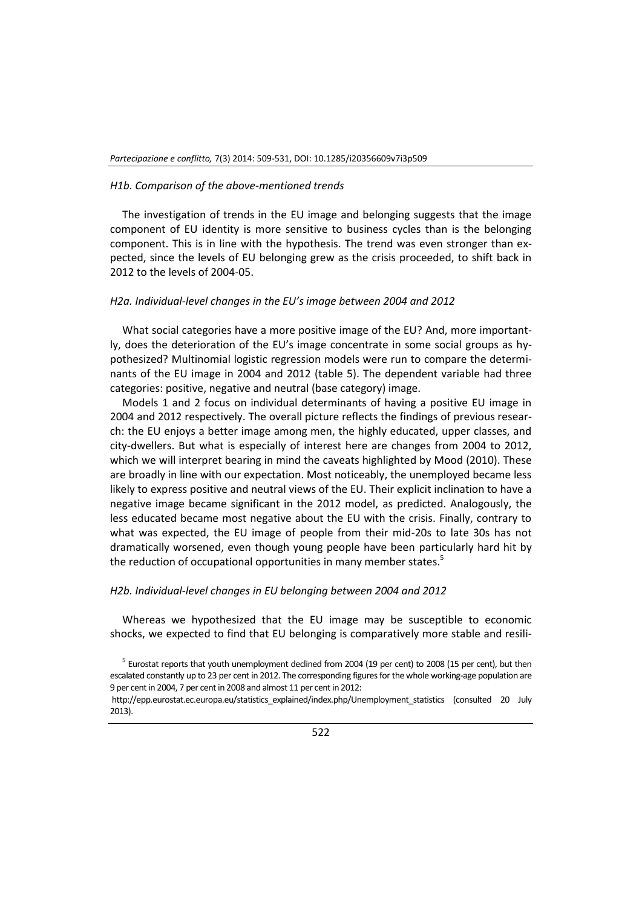#### *H1b. Comparison of the above-mentioned trends*

The investigation of trends in the EU image and belonging suggests that the image component of EU identity is more sensitive to business cycles than is the belonging component. This is in line with the hypothesis. The trend was even stronger than expected, since the levels of EU belonging grew as the crisis proceeded, to shift back in 2012 to the levels of 2004-05.

#### *H2a. Individual-level changes in the EU's image between 2004 and 2012*

What social categories have a more positive image of the EU? And, more importantly, does the deterioration of the EU's image concentrate in some social groups as hypothesized? Multinomial logistic regression models were run to compare the determinants of the EU image in 2004 and 2012 (table 5). The dependent variable had three categories: positive, negative and neutral (base category) image.

Models 1 and 2 focus on individual determinants of having a positive EU image in 2004 and 2012 respectively. The overall picture reflects the findings of previous research: the EU enjoys a better image among men, the highly educated, upper classes, and city-dwellers. But what is especially of interest here are changes from 2004 to 2012, which we will interpret bearing in mind the caveats highlighted by Mood (2010). These are broadly in line with our expectation. Most noticeably, the unemployed became less likely to express positive and neutral views of the EU. Their explicit inclination to have a negative image became significant in the 2012 model, as predicted. Analogously, the less educated became most negative about the EU with the crisis. Finally, contrary to what was expected, the EU image of people from their mid-20s to late 30s has not dramatically worsened, even though young people have been particularly hard hit by the reduction of occupational opportunities in many member states.<sup>5</sup>

#### *H2b. Individual-level changes in EU belonging between 2004 and 2012*

Whereas we hypothesized that the EU image may be susceptible to economic shocks, we expected to find that EU belonging is comparatively more stable and resili-

<sup>&</sup>lt;sup>5</sup> Eurostat reports that youth unemployment declined from 2004 (19 per cent) to 2008 (15 per cent), but then escalated constantly up to 23 per cent in 2012. The corresponding figures for the whole working-age population are 9 per cent in 2004, 7 per cent in 2008 and almost 11 per cent in 2012:

[http://epp.eurostat.ec.europa.eu/statistics\\_explained/index.php/Unemployment\\_statistics](http://epp.eurostat.ec.europa.eu/statistics_explained/index.php/Unemployment_statistics) (consulted 20 July 2013).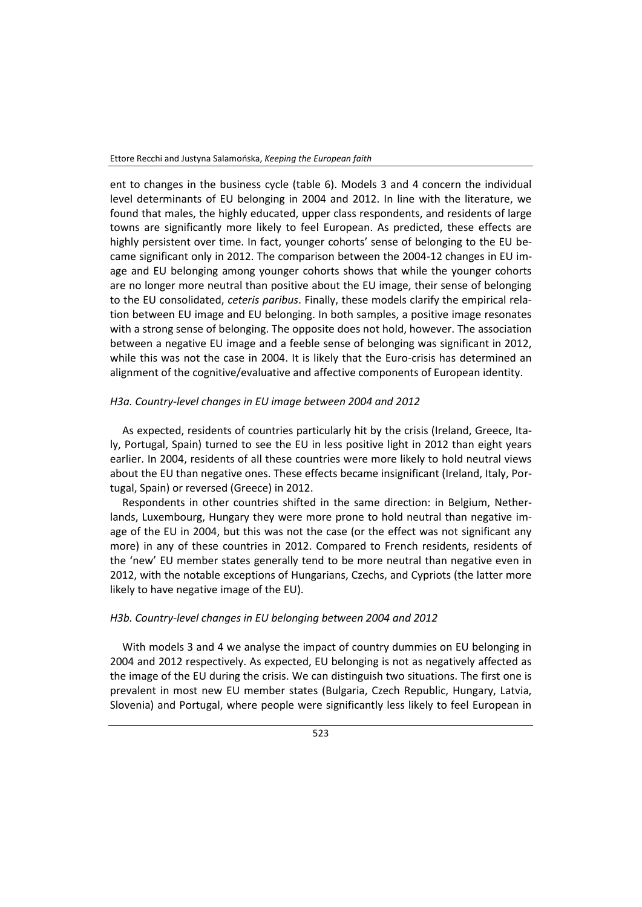ent to changes in the business cycle (table 6). Models 3 and 4 concern the individual level determinants of EU belonging in 2004 and 2012. In line with the literature, we found that males, the highly educated, upper class respondents, and residents of large towns are significantly more likely to feel European. As predicted, these effects are highly persistent over time. In fact, younger cohorts' sense of belonging to the EU became significant only in 2012. The comparison between the 2004-12 changes in EU image and EU belonging among younger cohorts shows that while the younger cohorts are no longer more neutral than positive about the EU image, their sense of belonging to the EU consolidated, *ceteris paribus*. Finally, these models clarify the empirical relation between EU image and EU belonging. In both samples, a positive image resonates with a strong sense of belonging. The opposite does not hold, however. The association between a negative EU image and a feeble sense of belonging was significant in 2012, while this was not the case in 2004. It is likely that the Euro-crisis has determined an alignment of the cognitive/evaluative and affective components of European identity.

#### *H3a. Country-level changes in EU image between 2004 and 2012*

As expected, residents of countries particularly hit by the crisis (Ireland, Greece, Italy, Portugal, Spain) turned to see the EU in less positive light in 2012 than eight years earlier. In 2004, residents of all these countries were more likely to hold neutral views about the EU than negative ones. These effects became insignificant (Ireland, Italy, Portugal, Spain) or reversed (Greece) in 2012.

Respondents in other countries shifted in the same direction: in Belgium, Netherlands, Luxembourg, Hungary they were more prone to hold neutral than negative image of the EU in 2004, but this was not the case (or the effect was not significant any more) in any of these countries in 2012. Compared to French residents, residents of the 'new' EU member states generally tend to be more neutral than negative even in 2012, with the notable exceptions of Hungarians, Czechs, and Cypriots (the latter more likely to have negative image of the EU).

## *H3b. Country-level changes in EU belonging between 2004 and 2012*

With models 3 and 4 we analyse the impact of country dummies on EU belonging in 2004 and 2012 respectively. As expected, EU belonging is not as negatively affected as the image of the EU during the crisis. We can distinguish two situations. The first one is prevalent in most new EU member states (Bulgaria, Czech Republic, Hungary, Latvia, Slovenia) and Portugal, where people were significantly less likely to feel European in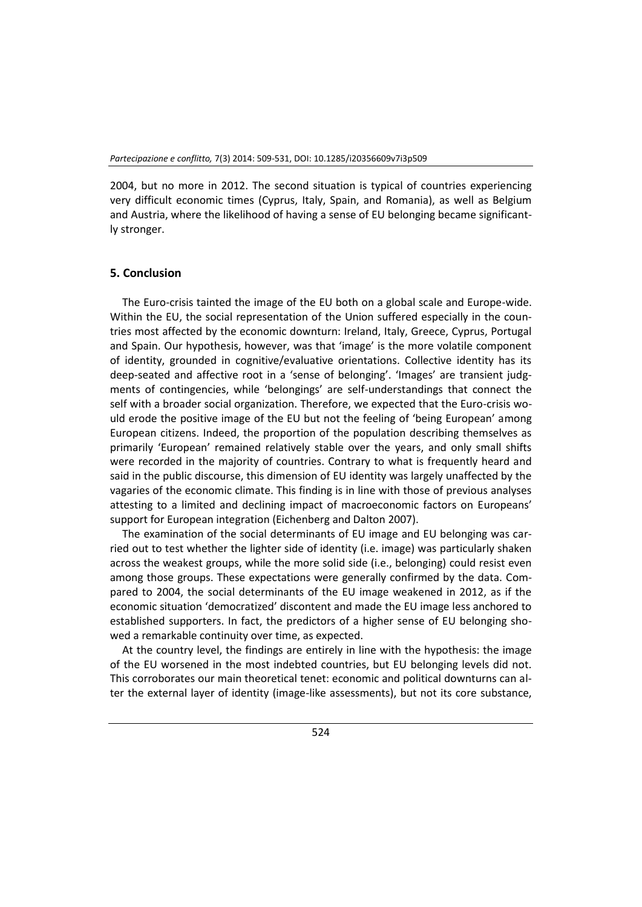2004, but no more in 2012. The second situation is typical of countries experiencing very difficult economic times (Cyprus, Italy, Spain, and Romania), as well as Belgium and Austria, where the likelihood of having a sense of EU belonging became significantly stronger.

## **5. Conclusion**

The Euro-crisis tainted the image of the EU both on a global scale and Europe-wide. Within the EU, the social representation of the Union suffered especially in the countries most affected by the economic downturn: Ireland, Italy, Greece, Cyprus, Portugal and Spain. Our hypothesis, however, was that 'image' is the more volatile component of identity, grounded in cognitive/evaluative orientations. Collective identity has its deep-seated and affective root in a 'sense of belonging'. 'Images' are transient judgments of contingencies, while 'belongings' are self-understandings that connect the self with a broader social organization. Therefore, we expected that the Euro-crisis would erode the positive image of the EU but not the feeling of 'being European' among European citizens. Indeed, the proportion of the population describing themselves as primarily 'European' remained relatively stable over the years, and only small shifts were recorded in the majority of countries. Contrary to what is frequently heard and said in the public discourse, this dimension of EU identity was largely unaffected by the vagaries of the economic climate. This finding is in line with those of previous analyses attesting to a limited and declining impact of macroeconomic factors on Europeans' support for European integration (Eichenberg and Dalton 2007).

The examination of the social determinants of EU image and EU belonging was carried out to test whether the lighter side of identity (i.e. image) was particularly shaken across the weakest groups, while the more solid side (i.e., belonging) could resist even among those groups. These expectations were generally confirmed by the data. Compared to 2004, the social determinants of the EU image weakened in 2012, as if the economic situation 'democratized' discontent and made the EU image less anchored to established supporters. In fact, the predictors of a higher sense of EU belonging showed a remarkable continuity over time, as expected.

At the country level, the findings are entirely in line with the hypothesis: the image of the EU worsened in the most indebted countries, but EU belonging levels did not. This corroborates our main theoretical tenet: economic and political downturns can alter the external layer of identity (image-like assessments), but not its core substance,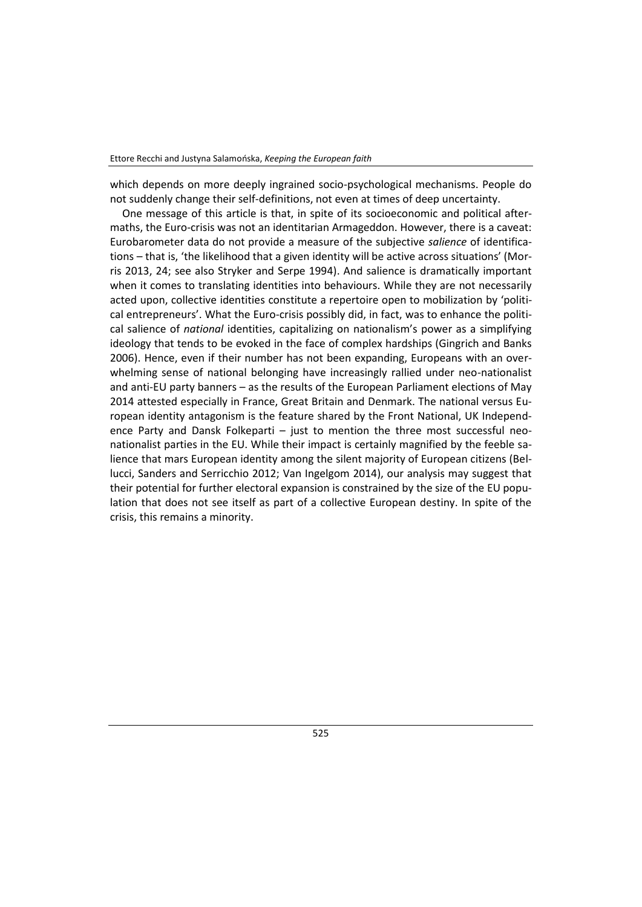which depends on more deeply ingrained socio-psychological mechanisms. People do not suddenly change their self-definitions, not even at times of deep uncertainty.

One message of this article is that, in spite of its socioeconomic and political aftermaths, the Euro-crisis was not an identitarian Armageddon. However, there is a caveat: Eurobarometer data do not provide a measure of the subjective *salience* of identifications – that is, 'the likelihood that a given identity will be active across situations' (Morris 2013, 24; see also Stryker and Serpe 1994). And salience is dramatically important when it comes to translating identities into behaviours. While they are not necessarily acted upon, collective identities constitute a repertoire open to mobilization by 'political entrepreneurs'. What the Euro-crisis possibly did, in fact, was to enhance the political salience of *national* identities, capitalizing on nationalism's power as a simplifying ideology that tends to be evoked in the face of complex hardships (Gingrich and Banks 2006). Hence, even if their number has not been expanding, Europeans with an overwhelming sense of national belonging have increasingly rallied under neo-nationalist and anti-EU party banners – as the results of the European Parliament elections of May 2014 attested especially in France, Great Britain and Denmark. The national versus European identity antagonism is the feature shared by the Front National, UK Independence Party and Dansk Folkeparti – just to mention the three most successful neonationalist parties in the EU. While their impact is certainly magnified by the feeble salience that mars European identity among the silent majority of European citizens (Bellucci, Sanders and Serricchio 2012; Van Ingelgom 2014), our analysis may suggest that their potential for further electoral expansion is constrained by the size of the EU population that does not see itself as part of a collective European destiny. In spite of the crisis, this remains a minority.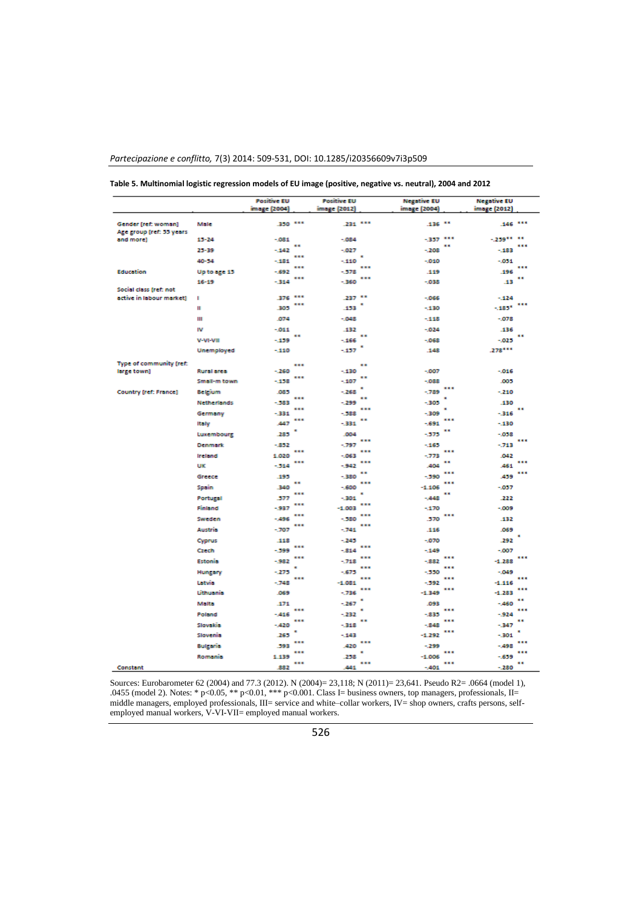### *Partecipazione e conflitto,* 7(3) 2014: 509-531, DOI: 10.1285/i20356609v7i3p509

|                                                 |                    | <b>Positive EU</b><br>image (2004) |                      | <b>Positive EU</b><br>image (2012) |                | <b>Negative EU</b><br>image (2004) | <b>Negative EU</b><br>image (2012) |                      |
|-------------------------------------------------|--------------------|------------------------------------|----------------------|------------------------------------|----------------|------------------------------------|------------------------------------|----------------------|
| Gender [ref: woman]<br>Age group (ref: 55 years | Male               | 350 ***                            |                      | .231 ***                           |                | .136 **                            | 146 ***                            |                      |
| and more)                                       | $13 - 24$          | $-081$                             |                      | $-084$                             |                | $-357$ ***                         | $-259$ <sup>44</sup> $+4$          |                      |
|                                                 | $25 - 39$          | $-142$                             | 44                   | $-027$                             |                | $-208$                             | <br>$-183$                         |                      |
|                                                 | 40-54              | $-181$                             |                      | $-110$                             |                | $-010$                             | $-0.031$                           |                      |
| Education                                       | Up to age 15       | $-692$                             |                      | $-578$                             |                | 119                                | 196                                |                      |
|                                                 | $16 - 19$          | $-314$                             |                      | $-360$                             |                | $-038$                             | .13                                |                      |
| Social class (ref: not                          |                    |                                    |                      |                                    |                |                                    |                                    |                      |
| active in labour market]                        | п                  | 376                                | <br>                 | .237                               |                | $-066$                             | $-124$                             |                      |
|                                                 | Ш                  | 305                                |                      | .153                               |                | $-130$                             | $-185*$                            |                      |
|                                                 | Ш                  | .074                               |                      | $-048$                             |                | $-118$                             | $-0.078$                           |                      |
|                                                 | w                  | $-011$                             |                      | .132                               |                | $-024$                             | .136                               | $\ddot{\phantom{0}}$ |
|                                                 | V-VI-VIII          | $-139$                             |                      | $-166$                             |                | $-068$                             | $-025$                             |                      |
|                                                 | Unemployed         | $-110$                             |                      | $-157$                             | $\blacksquare$ | .148                               | .278***                            |                      |
| Type of community (ref:                         |                    |                                    |                      |                                    |                |                                    |                                    |                      |
| large town]                                     | Rural area         | $-260$                             |                      | $-130$                             | $\cdots$       | $-007$                             | $-016$                             |                      |
|                                                 | Small-m town       | $-158$                             |                      | $-107$                             |                | $-088$                             | .005                               |                      |
| <b>Country [ref: France]</b>                    | Belgium            | .085                               |                      | $-268$                             | ٠<br>          | $-789$                             | <br>$-210$                         |                      |
|                                                 | <b>Netherlands</b> | $-583$                             |                      | $-299$                             |                | $-305$                             | .130                               |                      |
|                                                 | Germany            | $-331$                             |                      | $-588$                             |                | $-309$                             | $-316$                             |                      |
|                                                 | Italy              | ,447                               |                      | $-331$                             |                | $-691$                             | <br>$-130$                         |                      |
|                                                 | Luxembourg         | .285                               | ٠                    | .004                               |                | $-575$                             | <br>$-0.08$                        |                      |
|                                                 | <b>Denmark</b>     | $-852$                             |                      | $-797$                             |                | $-165$                             | $-713$                             |                      |
|                                                 | Ireland            | 1.020                              |                      | $-063$                             |                | $-773$                             | <br>.042                           |                      |
|                                                 | UK                 | $-514$                             |                      | $-942$                             |                | .404                               | 461                                |                      |
|                                                 | Greece             | .195                               |                      | $-380$                             |                | $-390$                             | <br>A59                            |                      |
|                                                 | Spain              | .340                               | $\ddot{\phantom{a}}$ | $-500$                             |                | $-1.106$                           | <br>$-057$                         |                      |
|                                                 | Portugal           | 577                                |                      | $-301$                             | ٠              | $-448$                             | <br>222                            |                      |
|                                                 | Finland            | $-937$                             |                      | $-1.003$                           |                | $-170$                             | $-009$                             |                      |
|                                                 | Sweden             | $-496$                             |                      | $-580$                             |                | 570                                | <br>132                            |                      |
|                                                 | Austria            | $-707$                             |                      | $-741$                             |                | .116                               | .069                               |                      |
|                                                 | Cyprus             | .118                               |                      | $-245$                             |                | $-070$                             | .292                               |                      |
|                                                 | Czech              | - 599                              |                      | $-814$                             |                | $-149$                             | $-007$                             |                      |
|                                                 | Estonia            | $-982$                             |                      | $-718$                             |                | $-882$                             | <br>$-1.288$                       |                      |
|                                                 | Hungary            | $-275$                             | ٠                    | $-675$                             |                | $-350$                             | <br>$-049$                         |                      |
|                                                 | Latvia             | $-748$                             |                      | $-1.081$                           |                | $-592$                             | <br>$-1.116$                       |                      |
|                                                 | Lithuania          | .069                               |                      | $-736$                             |                | $-1.349$                           | <br>$-1.283$                       |                      |
|                                                 | Malta              | .171                               |                      | $-267$                             | ٠              | .093                               | $-460$                             |                      |
|                                                 | Poland             | $-416$                             |                      | $-232$                             | ٠              | $-835$                             | $-924$                             |                      |
|                                                 | Slovakia           | $-420$                             |                      | $-318$                             |                | $-848$                             | <br>$-347$                         | $\cdots$             |
|                                                 | Slovenia           | .265                               | ٠                    | $-143$                             |                | $-1.292$                           | <br>$-301$                         | ٠                    |
|                                                 | Bulgaria           | 593                                |                      | 420                                |                | $-299$                             | $-498$                             |                      |
|                                                 | Romania            | 1.139                              |                      | .258                               |                | $-1.006$                           | <br>-.659                          |                      |
| <b>Constant</b>                                 |                    | .882                               |                      | 441                                |                | $-401$                             | <br>$-280$                         |                      |

#### **Table 5. Multinomial logistic regression models of EU image (positive, negative vs. neutral), 2004 and 2012**

Sources: Eurobarometer 62 (2004) and 77.3 (2012). N (2004)= 23,118; N (2011)= 23,641. Pseudo R2= .0664 (model 1), .0455 (model 2). Notes: \* p<0.05, \*\* p<0.01, \*\*\* p<0.001. Class I= business owners, top managers, professionals, II= middle managers, employed professionals, III= service and white–collar workers, IV= shop owners, crafts persons, selfemployed manual workers, V-VI-VII= employed manual workers.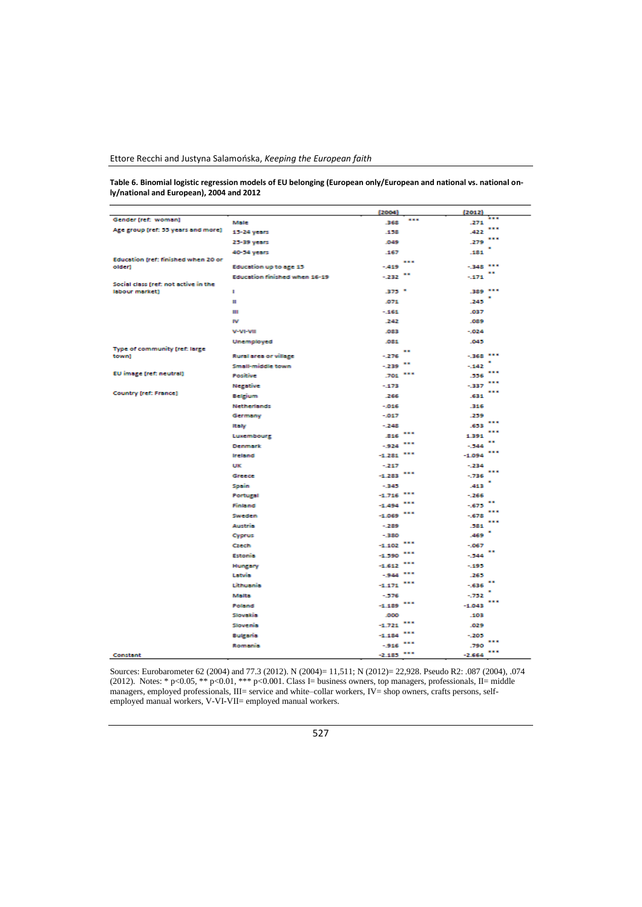### Ettore Recchi and Justyna Salamońska, *Keeping the European faith*

**Table 6. Binomial logistic regression models of EU belonging (European only/European and national vs. national only/national and European), 2004 and 2012**

|                                      |                               | (2004)       | [2012]             |  |
|--------------------------------------|-------------------------------|--------------|--------------------|--|
| Gender [ref: woman]                  | Male                          | 368          | <br><br>.271       |  |
| Age group (ref: 55 years and more)   | 15-24 years                   | .158         | <br>.422           |  |
|                                      | 25-39 years                   | .049         | <br>.279           |  |
|                                      | 40-54 years                   | .167         | .181               |  |
| Education Iref: finished when 20 or  |                               |              |                    |  |
| olderl                               | Education up to age 15        | $-419$       | $-348$ ***<br>.,   |  |
| Social class (ref: not active in the | Education finished when 16-19 | $-232$ $$    | $-171$             |  |
| <b>Jabour market1</b>                | п                             | 375 *        | .389 ***           |  |
|                                      | Ш                             | .071         | .245               |  |
|                                      | Ш                             | $-161$       | .037               |  |
|                                      | <b>IV</b>                     | .242         | .089               |  |
|                                      | V-VI-VII                      | .083         | $-024$             |  |
|                                      | Unemployed                    | 031          | .045               |  |
| Type of community [ref: large        |                               |              |                    |  |
| town)                                | Rural area or village         | $-276$       | $-368$ ***<br>     |  |
| EU image [ref: neutral]              | Small-middle town             | $-239$       | $-142$<br>         |  |
|                                      | Positive                      | .701 ***     | .556<br>           |  |
| <b>Country [ref: France]</b>         | <b>Negative</b>               | $-173$       | $-337$<br>         |  |
|                                      | Belgium                       | 266          | .631               |  |
|                                      | <b>Netherlands</b>            | $-016$       | .316               |  |
|                                      | Germany                       | $-017$       | .259<br>           |  |
|                                      | Italy                         | $-248$       | .653<br><br>       |  |
|                                      | Luxembourg                    | .816         | 1.391<br><br>      |  |
|                                      | <b>Denmark</b>                | $-924$       | $-544$<br>         |  |
|                                      | Ireland                       | $-1.281$ *** | $-1.094$           |  |
|                                      | <b>UK</b>                     | $-217$       | $-234$<br><br>     |  |
|                                      | Greece                        | $-1.283$     | $-736$<br>٠        |  |
|                                      | Spain                         | $-345$       | .413               |  |
|                                      | Portugal                      | $-1.716$     | <br>$-266$<br><br> |  |
|                                      | Finland                       | $-1.494$     | $-675$<br>         |  |
|                                      | Sweden                        | $-1.069$ *** | $-678$<br>         |  |
|                                      | Austria                       | $-289$       | .581<br>٠          |  |
|                                      | Cyprus                        | $-380$       | A69<br>            |  |
|                                      | Czech                         | $-1.102$     | $-067$<br>         |  |
|                                      | Estonia                       | $-1.590$     | <br>$-344$         |  |
|                                      | Hungary                       | $-1.612$     | <br>$-195$         |  |
|                                      | Latvia                        | $-944$ ***   | .265<br>           |  |
|                                      | Lithuania                     | $-1.171$     | <br>$-636$         |  |
|                                      | Malta                         | $-576$       | $-752$<br>         |  |
|                                      | Poland                        | $-1.189$     | <br>$-1.043$       |  |
|                                      | Slovakia                      | ,000         | .103               |  |
|                                      | Slovenia                      | $-1.721$     | <br>.029           |  |
|                                      | <b>Bulgaria</b>               | $-1.184$     | <br>$-205$<br>     |  |
|                                      | Romania                       | $-916$ ***   | .790               |  |
| <b>Constant</b>                      |                               | $-2.185$ *** | <br>$-2.664$       |  |

Sources: Eurobarometer 62 (2004) and 77.3 (2012). N (2004)= 11,511; N (2012)= 22,928. Pseudo R2: .087 (2004), .074 (2012). Notes: \* p<0.05, \*\* p<0.01, \*\*\* p<0.001. Class I= business owners, top managers, professionals, II= middle managers, employed professionals, III= service and white–collar workers, IV= shop owners, crafts persons, selfemployed manual workers, V-VI-VII= employed manual workers.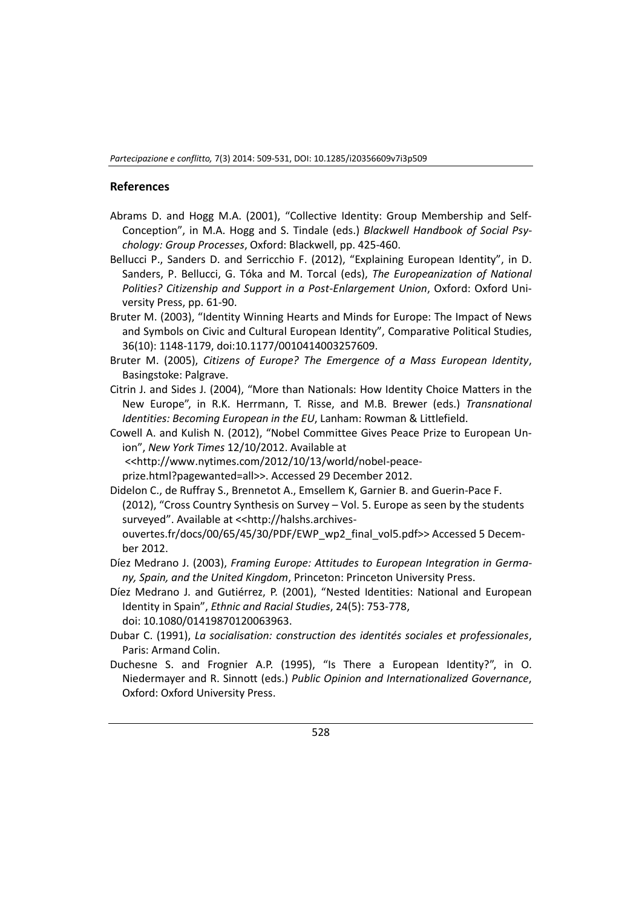#### **References**

- Abrams D. and Hogg M.A. (2001), "Collective Identity: Group Membership and Self-Conception", in M.A. Hogg and S. Tindale (eds.) *Blackwell Handbook of Social Psychology: Group Processes*, Oxford: Blackwell, pp. 425-460.
- Bellucci P., Sanders D. and Serricchio F. (2012), "Explaining European Identity", in D. Sanders, P. Bellucci, G. Tóka and M. Torcal (eds), *The Europeanization of National Polities? Citizenship and Support in a Post-Enlargement Union*, Oxford: Oxford University Press, pp. 61-90.
- Bruter M. (2003), "Identity Winning Hearts and Minds for Europe: The Impact of News and Symbols on Civic and Cultural European Identity", Comparative Political Studies, 36(10): 1148-1179, doi:10.1177/0010414003257609.
- Bruter M. (2005), *Citizens of Europe? The Emergence of a Mass European Identity*, Basingstoke: Palgrave.
- Citrin J. and Sides J. (2004), "More than Nationals: How Identity Choice Matters in the New Europe", in R.K. Herrmann, T. Risse, and M.B. Brewer (eds.) *Transnational Identities: Becoming European in the EU*, Lanham: Rowman & Littlefield.
- Cowell A. and Kulish N. (2012), "Nobel Committee Gives Peace Prize to European Union", *New York Times* 12/10/2012. Available at
	- <[<http://www.nytimes.com/2012/10/13/world/nobel-peace-](http://www.nytimes.com/2012/10/13/world/nobel-peace-prize.html?pagewanted=all)
	- [prize.html?pagewanted=all>](http://www.nytimes.com/2012/10/13/world/nobel-peace-prize.html?pagewanted=all)>. Accessed 29 December 2012.
- Didelon C., de Ruffray S., Brennetot A., Emsellem K, Garnier B. and Guerin-Pace F. (2012), "Cross Country Synthesis on Survey – Vol. 5. Europe as seen by the students surveyed". Available at << http://halshs.archives
	- [ouvertes.fr/docs/00/65/45/30/PDF/EWP\\_wp2\\_final\\_vol5.pdf>> Accessed 5 Decem](http://halshs.archives-ouvertes.fr/docs/00/65/45/30/PDF/EWP_wp2_final_vol5.pdf%3e%3e%20Accessed%205%20December)[ber 2](http://halshs.archives-ouvertes.fr/docs/00/65/45/30/PDF/EWP_wp2_final_vol5.pdf%3e%3e%20Accessed%205%20December)012.
- Díez Medrano J. (2003), *Framing Europe: Attitudes to European Integration in Germany, Spain, and the United Kingdom*, Princeton: Princeton University Press.
- Díez Medrano J. and Gutiérrez, P. (2001), "Nested Identities: National and European Identity in Spain", *Ethnic and Racial Studies*, 24(5): 753-778, doi: 10.1080/01419870120063963.
- Dubar C. (1991), *La socialisation: construction des identités sociales et professionales*, Paris: Armand Colin.
- Duchesne S. and Frognier A.P. (1995), "Is There a European Identity?", in O. Niedermayer and R. Sinnott (eds.) *Public Opinion and Internationalized Governance*, Oxford: Oxford University Press.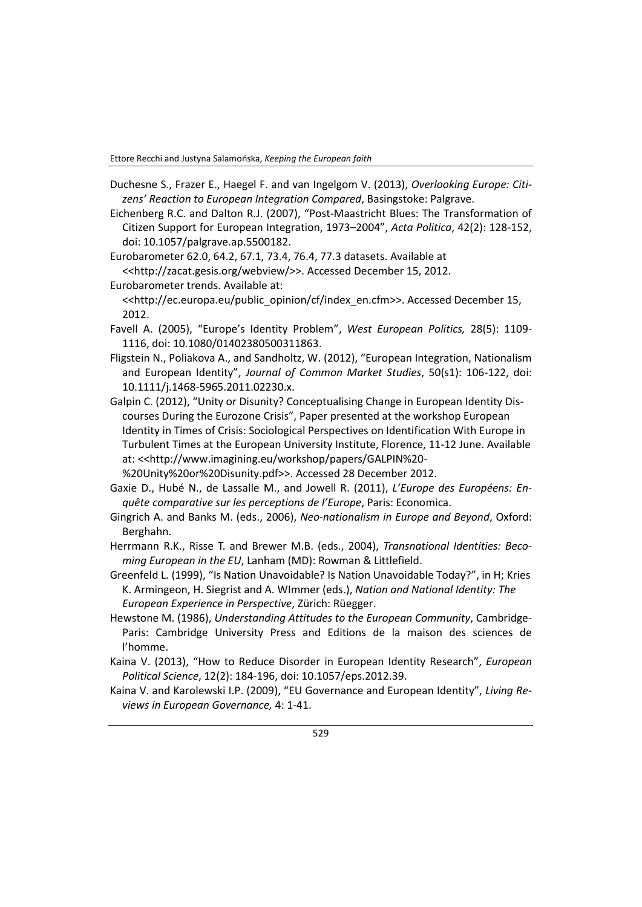Ettore Recchi and Justyna Salamońska, *Keeping the European faith* 

- Duchesne S., Frazer E., Haegel F. and van Ingelgom V. (2013), *Overlooking Europe: Citizens' Reaction to European Integration Compared*, Basingstoke: Palgrave.
- Eichenberg R.C. and Dalton R.J. (2007), "Post-Maastricht Blues: The Transformation of Citizen Support for European Integration, 1973–2004", *Acta Politica*, 42(2): 128-152, doi: 10.1057/palgrave.ap.5500182.

Eurobarometer 62.0, 64.2, 67.1, 73.4, 76.4, 77.3 datasets. Available at <[<http://zacat.gesis.org/webview/>](http://zacat.gesis.org/webview/)>. Accessed December 15, 2012. Eurobarometer trends. Available at:

<[<http://ec.europa.eu/public\\_opinion/cf/index\\_en.cfm>](http://ec.europa.eu/public_opinion/cf/index_en.cfm)>. Accessed December 15, 2012.

- Favell A. (2005), "Europe's Identity Problem", *West European Politics,* 28(5): 1109- 1116, doi: 10.1080/01402380500311863.
- Fligstein N., Poliakova A., and Sandholtz, W. (2012), "European Integration, Nationalism and European Identity", *Journal of Common Market Studies*, 50(s1): 106-122, doi: 10.1111/j.1468-5965.2011.02230.x.
- Galpin C. (2012), "Unity or Disunity? Conceptualising Change in European Identity Discourses During the Eurozone Crisis", Paper presented at the workshop European Identity in Times of Crisis: Sociological Perspectives on Identification With Europe in Turbulent Times at the European University Institute, Florence, 11-12 June. Available at: <[<http://www.imagining.eu/workshop/papers/GALPIN%20-](http://www.imagining.eu/workshop/papers/GALPIN%20-%20Unity%20or%20Disunity.pdf) [%20Unity%20or%20Disunity.pdf>](http://www.imagining.eu/workshop/papers/GALPIN%20-%20Unity%20or%20Disunity.pdf)>. Accessed 28 December 2012.
- Gaxie D., Hubé N., de Lassalle M., and Jowell R. (2011), *L'Europe des Européens: Enquête comparative sur les perceptions de l'Europe*, Paris: Economica.
- Gingrich A. and Banks M. (eds., 2006), *Neo-nationalism in Europe and Beyond*, Oxford: Berghahn.
- Herrmann R.K., Risse T. and Brewer M.B. (eds., 2004), *Transnational Identities: Becoming European in the EU*, Lanham (MD): Rowman & Littlefield.
- Greenfeld L. (1999), "Is Nation Unavoidable? Is Nation Unavoidable Today?", in H; Kries K. Armingeon, H. Siegrist and A. WImmer (eds.), *Nation and National Identity: The European Experience in Perspective*, Zürich: Rüegger.
- Hewstone M. (1986), *Understanding Attitudes to the European Community*, Cambridge-Paris: Cambridge University Press and Editions de la maison des sciences de l'homme.
- Kaina V. (2013), "How to Reduce Disorder in European Identity Research", *European Political Science*, 12(2): 184-196, doi: 10.1057/eps.2012.39.
- Kaina V. and Karolewski I.P. (2009), "EU Governance and European Identity", *Living Reviews in European Governance,* 4: 1-41.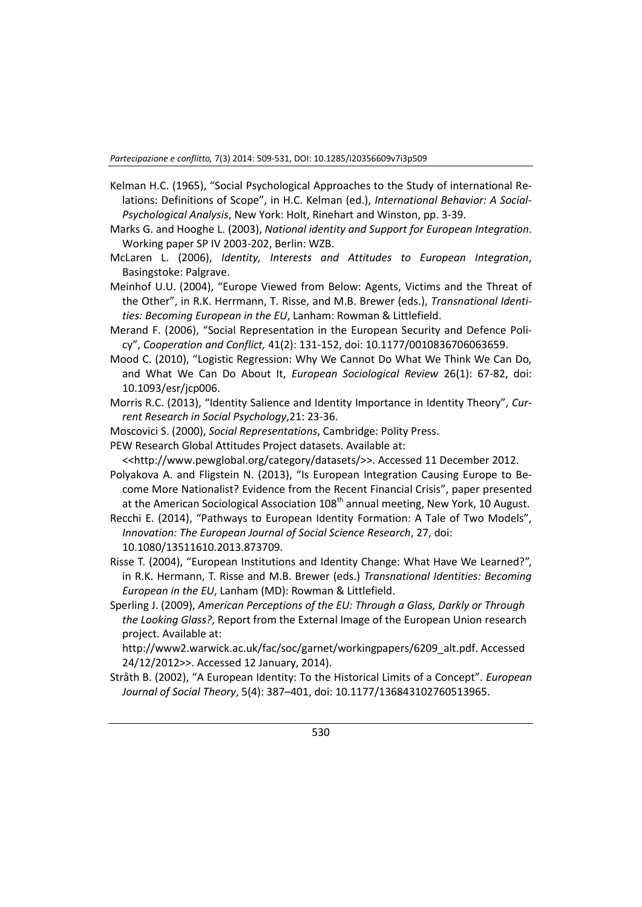- Kelman H.C. (1965), "Social Psychological Approaches to the Study of international Relations: Definitions of Scope", in H.C. Kelman (ed.), *International Behavior: A Social-Psychological Analysis*, New York: Holt, Rinehart and Winston, pp. 3-39.
- Marks G. and Hooghe L. (2003), *National identity and Support for European Integration*. Working paper SP IV 2003-202, Berlin: WZB.
- McLaren L. (2006), *Identity, Interests and Attitudes to European Integration*, Basingstoke: Palgrave.
- Meinhof U.U. (2004), "Europe Viewed from Below: Agents, Victims and the Threat of the Other", in R.K. Herrmann, T. Risse, and M.B. Brewer (eds.), *Transnational Identities: Becoming European in the EU*, Lanham: Rowman & Littlefield.
- Merand F. (2006), "Social Representation in the European Security and Defence Policy", *Cooperation and Conflict,* 41(2): 131-152, doi: 10.1177/0010836706063659.
- Mood C. (2010), "Logistic Regression: Why We Cannot Do What We Think We Can Do, and What We Can Do About It, *European Sociological Review* 26(1): 67-82, doi: 10.1093/esr/jcp006.
- Morris R.C. (2013), "Identity Salience and Identity Importance in Identity Theory", *Current Research in Social Psychology*,21: 23-36.
- Moscovici S. (2000), *Social Representations*, Cambridge: Polity Press.
- PEW Research Global Attitudes Project datasets. Available at:

<[<http://www.pewglobal.org/category/datasets/>](http://www.pewglobal.org/category/datasets/)>. Accessed 11 December 2012.

- Polyakova A. and Fligstein N. (2013), "Is European Integration Causing Europe to Become More Nationalist? Evidence from the Recent Financial Crisis", paper presented at the American Sociological Association  $108<sup>th</sup>$  annual meeting, New York, 10 August.
- Recchi E. (2014), "Pathways to European Identity Formation: A Tale of Two Models", *Innovation: The European Journal of Social Science Research*, 27, doi: 10.1080/13511610.2013.873709.
- Risse T. (2004), "European Institutions and Identity Change: What Have We Learned?", in R.K. Hermann, T. Risse and M.B. Brewer (eds.) *Transnational Identities: Becoming European in the EU*, Lanham (MD): Rowman & Littlefield.
- Sperling J. (2009), *American Perceptions of the EU: Through a Glass, Darkly or Through the Looking Glass?*, Report from the External Image of the European Union research project. Available at:

[http://www2.warwick.ac.uk/fac/soc/garnet/workingpapers/6209\\_alt.pdf. Accessed](http://www2.warwick.ac.uk/fac/soc/garnet/workingpapers/6209_alt.pdf.%20Accessed%2024/12/2012%3e%3e.%20Accessed)  [24/12/2012>>. Accessed](http://www2.warwick.ac.uk/fac/soc/garnet/workingpapers/6209_alt.pdf.%20Accessed%2024/12/2012%3e%3e.%20Accessed) 12 January, 2014).

Stråth B. (2002), "A European Identity: To the Historical Limits of a Concept". *European Journal of Social Theory*, 5(4): 387–401, doi: 10.1177/136843102760513965.